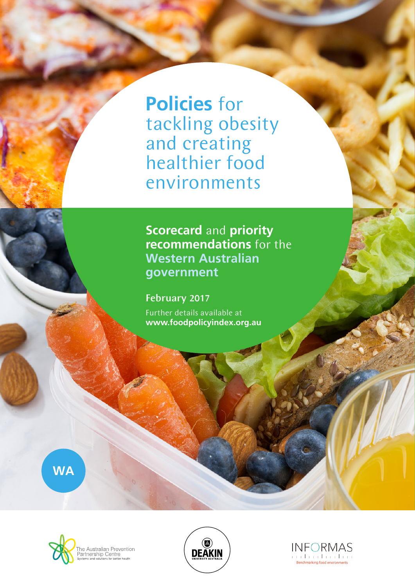**Policies** for tackling obesity and creating healthier food environments

**Scorecard** and **priority recommendations** for the **Western Australian government**

Further details available at **www.foodpolicyindex.org.au** February 2017

**WA**





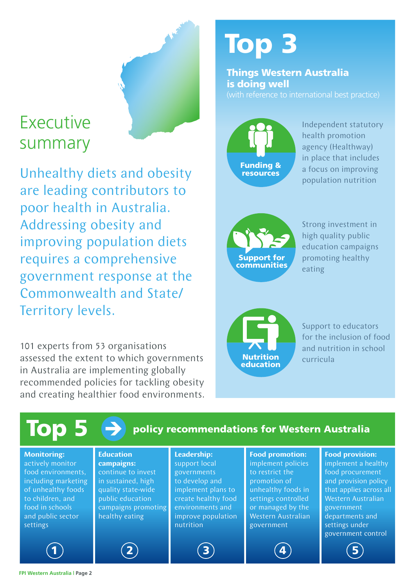## Executive summary

Unhealthy diets and obesity are leading contributors to poor health in Australia. Addressing obesity and improving population diets requires a comprehensive government response at the Commonwealth and State/ Territory levels.

101 experts from 53 organisations assessed the extent to which governments in Australia are implementing globally recommended policies for tackling obesity and creating healthier food environments.

# Top 3

Things Western Australia is doing well



Independent statutory health promotion agency (Healthway) in place that includes a focus on improving population nutrition



Strong investment in high quality public education campaigns promoting healthy eating

Nutrition education

Support to educators for the inclusion of food and nutrition in school curricula

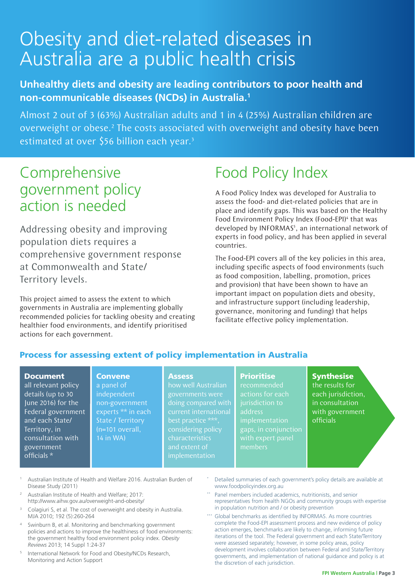## Obesity and diet-related diseases in Australia are a public health crisis

#### **Unhealthy diets and obesity are leading contributors to poor health and non-communicable diseases (NCDs) in Australia.1**

Almost 2 out of 3 (63%) Australian adults and 1 in 4 (25%) Australian children are overweight or obese.<sup>2</sup> The costs associated with overweight and obesity have been estimated at over \$56 billion each year.<sup>3</sup>

### Comprehensive government policy action is needed

Addressing obesity and improving population diets requires a comprehensive government response at Commonwealth and State/ Territory levels.

This project aimed to assess the extent to which governments in Australia are implementing globally recommended policies for tackling obesity and creating healthier food environments, and identify prioritised actions for each government.

> **Convene** a panel of independent non-government experts \*\* in each State / Territory (n=101 overall, 14 in WA)

## Food Policy Index

A Food Policy Index was developed for Australia to assess the food- and diet-related policies that are in place and identify gaps. This was based on the Healthy Food Environment Policy Index (Food-EPI)<sup>4</sup> that was developed by INFORMAS<sup>5</sup>, an international network of experts in food policy, and has been applied in several countries.

The Food-EPI covers all of the key policies in this area, including specific aspects of food environments (such as food composition, labelling, promotion, prices and provision) that have been shown to have an important impact on population diets and obesity, and infrastructure support (including leadership, governance, monitoring and funding) that helps facilitate effective policy implementation.

#### Process for assessing extent of policy implementation in Australia

#### Document

all relevant policy details (up to 30 June 2016) for the Federal government and each State/ Territory, in consultation with government officials \*

#### **Assess**

how well Australian governments were doing compared with best practice \*\*\*, considering policy characteristics implementation

#### **Prioritise**

recommended actions for each jurisdiction to address implementation gaps, in conjunction members

#### **Synthesise**

the results for each jurisdiction, in consultation with government officials

- <sup>1</sup> Australian Institute of Health and Welfare 2016. Australian Burden of Disease Study (2011)
- <sup>2</sup> Australian Institute of Health and Welfare; 2017: http://www.aihw.gov.au/overweight-and-obesity/
- <sup>3</sup> Colagiuri S, et al. The cost of overweight and obesity in Australia. MJA 2010; 192 (5):260-264
- Swinburn B, et al. Monitoring and benchmarking government policies and actions to improve the healthiness of food environments: the government healthy food environment policy index. *Obesity Reviews* 2013; 14 Suppl 1:24-37
- <sup>5</sup> International Network for Food and Obesity/NCDs Research, Monitoring and Action Support
- Detailed summaries of each government's policy details are available at www.foodpolicyindex.org.au
- Panel members included academics, nutritionists, and senior representatives from health NGOs and community groups with expertise in population nutrition and / or obesity prevention
- Global benchmarks as identified by INFORMAS. As more countries complete the Food-EPI assessment process and new evidence of policy action emerges, benchmarks are likely to change, informing future iterations of the tool. The Federal government and each State/Territory were assessed separately; however, in some policy areas, policy development involves collaboration between Federal and State/Territory governments, and implementation of national guidance and policy is at the discretion of each jurisdiction.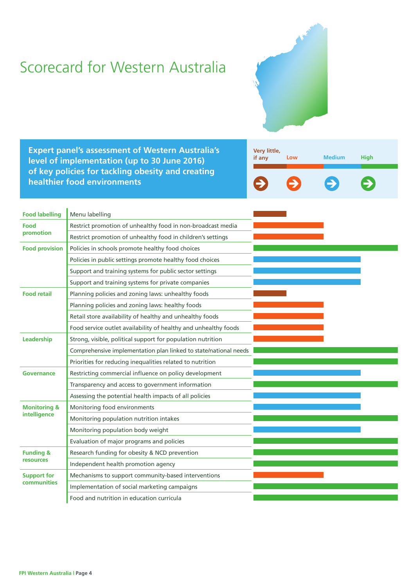## Scorecard for Western Australia



**Expert panel's assessment of Western Australia's level of implementation (up to 30 June 2016) of key policies for tackling obesity and creating healthier food environments**



| <b>Food labelling</b>                   | Menu labelling                                                   |  |  |
|-----------------------------------------|------------------------------------------------------------------|--|--|
| Food<br>promotion                       | Restrict promotion of unhealthy food in non-broadcast media      |  |  |
|                                         | Restrict promotion of unhealthy food in children's settings      |  |  |
| <b>Food provision</b>                   | Policies in schools promote healthy food choices                 |  |  |
|                                         | Policies in public settings promote healthy food choices         |  |  |
|                                         | Support and training systems for public sector settings          |  |  |
|                                         | Support and training systems for private companies               |  |  |
| <b>Food retail</b>                      | Planning policies and zoning laws: unhealthy foods               |  |  |
|                                         | Planning policies and zoning laws: healthy foods                 |  |  |
|                                         | Retail store availability of healthy and unhealthy foods         |  |  |
|                                         | Food service outlet availability of healthy and unhealthy foods  |  |  |
| Leadership                              | Strong, visible, political support for population nutrition      |  |  |
|                                         | Comprehensive implementation plan linked to state/national needs |  |  |
|                                         | Priorities for reducing inequalities related to nutrition        |  |  |
| Governance                              | Restricting commercial influence on policy development           |  |  |
|                                         | Transparency and access to government information                |  |  |
|                                         | Assessing the potential health impacts of all policies           |  |  |
| <b>Monitoring &amp;</b><br>intelligence | Monitoring food environments                                     |  |  |
|                                         | Monitoring population nutrition intakes                          |  |  |
|                                         | Monitoring population body weight                                |  |  |
|                                         | Evaluation of major programs and policies                        |  |  |
| <b>Funding &amp;</b>                    | Research funding for obesity & NCD prevention                    |  |  |
| <b>resources</b>                        | Independent health promotion agency                              |  |  |
| <b>Support for</b><br>communities       | Mechanisms to support community-based interventions              |  |  |
|                                         | Implementation of social marketing campaigns                     |  |  |
|                                         | Food and nutrition in education curricula                        |  |  |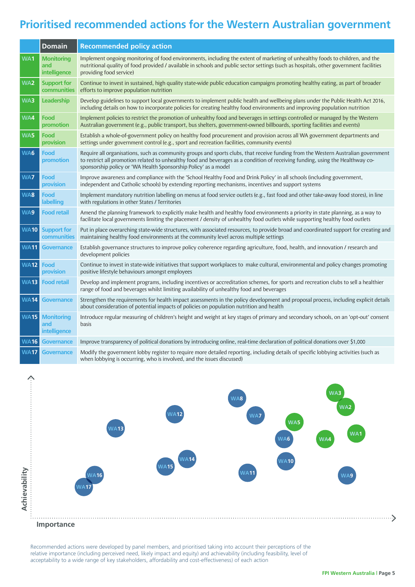#### **Prioritised recommended actions for the Western Australian government**

|                 | <b>Domain</b>                            | <b>Recommended policy action</b>                                                                                                                                                                                                                                                                                                       |
|-----------------|------------------------------------------|----------------------------------------------------------------------------------------------------------------------------------------------------------------------------------------------------------------------------------------------------------------------------------------------------------------------------------------|
| WA1             | <b>Monitoring</b><br>and<br>intelligence | Implement ongoing monitoring of food environments, including the extent of marketing of unhealthy foods to children, and the<br>nutritional quality of food provided / available in schools and public sector settings (such as hospitals, other government facilities<br>providing food service)                                      |
| WA <sub>2</sub> | <b>Support for</b><br>communities        | Continue to invest in sustained, high quality state-wide public education campaigns promoting healthy eating, as part of broader<br>efforts to improve population nutrition                                                                                                                                                            |
| WA3             | Leadership                               | Develop guidelines to support local governments to implement public health and wellbeing plans under the Public Health Act 2016,<br>including details on how to incorporate policies for creating healthy food environments and improving population nutrition                                                                         |
| WA4             | Food<br>promotion                        | Implement policies to restrict the promotion of unhealthy food and beverages in settings controlled or managed by the Western<br>Australian government (e.g., public transport, bus shelters, government-owned billboards, sporting facilities and events)                                                                             |
| WA5             | Food<br>provision                        | Establish a whole-of-government policy on healthy food procurement and provision across all WA government departments and<br>settings under government control (e.g., sport and recreation facilities, community events)                                                                                                               |
| WA6             | Food<br>promotion                        | Require all organisations, such as community groups and sports clubs, that receive funding from the Western Australian government<br>to restrict all promotion related to unhealthy food and beverages as a condition of receiving funding, using the Healthway co-<br>sponsorship policy or 'WA Health Sponsorship Policy' as a model |
| WA7             | Food<br>provision                        | Improve awareness and compliance with the 'School Healthy Food and Drink Policy' in all schools (including government,<br>independent and Catholic schools) by extending reporting mechanisms, incentives and support systems                                                                                                          |
| WA8             | Food<br><b>labelling</b>                 | Implement mandatory nutrition labelling on menus at food service outlets (e.g., fast food and other take-away food stores), in line<br>with regulations in other States / Territories                                                                                                                                                  |
| WA9             | <b>Food retail</b>                       | Amend the planning framework to explicitly make health and healthy food environments a priority in state planning, as a way to<br>facilitate local governments limiting the placement / density of unhealthy food outlets while supporting healthy food outlets                                                                        |
| <b>WA10</b>     | <b>Support for</b><br>communities        | Put in place overarching state-wide structures, with associated resources, to provide broad and coordinated support for creating and<br>maintaining healthy food environments at the community level across multiple settings                                                                                                          |
| <b>WA11</b>     | <b>Governance</b>                        | Establish governance structures to improve policy coherence regarding agriculture, food, health, and innovation / research and<br>development policies                                                                                                                                                                                 |
| <b>WA12</b>     | Food<br>provision                        | Continue to invest in state-wide initiatives that support workplaces to make cultural, environmental and policy changes promoting<br>positive lifestyle behaviours amongst employees                                                                                                                                                   |
| <b>WA13</b>     | <b>Food retail</b>                       | Develop and implement programs, including incentives or accreditation schemes, for sports and recreation clubs to sell a healthier<br>range of food and beverages whilst limiting availability of unhealthy food and beverages                                                                                                         |
| <b>WA14</b>     | <b>Governance</b>                        | Strengthen the requirements for health impact assessments in the policy development and proposal process, including explicit details<br>about consideration of potential impacts of policies on population nutrition and health                                                                                                        |
| <b>WA15</b>     | <b>Monitoring</b><br>and<br>intelligence | Introduce regular measuring of children's height and weight at key stages of primary and secondary schools, on an 'opt-out' consent<br>basis                                                                                                                                                                                           |
| <b>WA16</b>     | <b>Governance</b>                        | Improve transparency of political donations by introducing online, real-time declaration of political donations over \$1,000                                                                                                                                                                                                           |
| <b>WA17</b>     | <b>Governance</b>                        | Modify the government lobby register to require more detailed reporting, including details of specific lobbying activities (such as<br>when lobbying is occurring, who is involved, and the issues discussed)                                                                                                                          |



Recommended actions were developed by panel members, and prioritised taking into account their perceptions of the relative importance (including perceived need, likely impact and equity) and achievability (including feasibility, level of acceptability to a wide range of key stakeholders, affordability and cost-effectiveness) of each action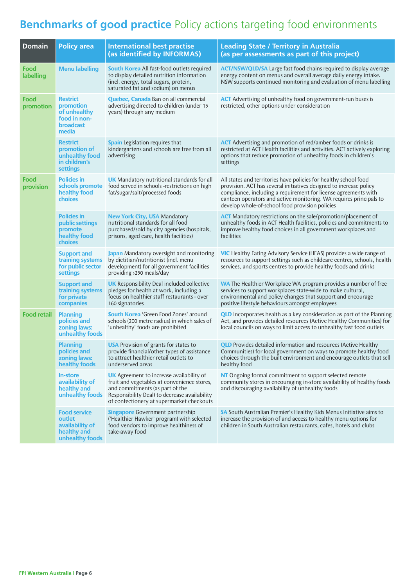### **Benchmarks of good practice** Policy actions targeting food environments

| <b>Domain</b>      | <b>Policy area</b>                                                                 | <b>International best practise</b><br>(as identified by INFORMAS)                                                                                                                                                               | <b>Leading State / Territory in Australia</b><br>(as per assessments as part of this project)                                                                                                                                                                                                                                      |
|--------------------|------------------------------------------------------------------------------------|---------------------------------------------------------------------------------------------------------------------------------------------------------------------------------------------------------------------------------|------------------------------------------------------------------------------------------------------------------------------------------------------------------------------------------------------------------------------------------------------------------------------------------------------------------------------------|
| Food<br>labelling  | <b>Menu labelling</b>                                                              | <b>South Korea</b> All fast-food outlets required<br>to display detailed nutrition information<br>(incl. energy, total sugars, protein,<br>saturated fat and sodium) on menus                                                   | <b>ACT/NSW/QLD/SA</b> Large fast food chains required to display average<br>energy content on menus and overall average daily energy intake.<br>NSW supports continued monitoring and evaluation of menu labelling                                                                                                                 |
| Food<br>promotion  | <b>Restrict</b><br>promotion<br>of unhealthy<br>food in non-<br>broadcast<br>media | <b>Quebec, Canada</b> Ban on all commercial<br>advertising directed to children (under 13<br>years) through any medium                                                                                                          | <b>ACT</b> Advertising of unhealthy food on government-run buses is<br>restricted, other options under consideration                                                                                                                                                                                                               |
|                    | <b>Restrict</b><br>promotion of<br>unhealthy food<br>in children's<br>settings     | <b>Spain</b> Legislation requires that<br>kindergartens and schools are free from all<br>advertising                                                                                                                            | <b>ACT</b> Advertising and promotion of red/amber foods or drinks is<br>restricted at ACT Health facilities and activities. ACT actively exploring<br>options that reduce promotion of unhealthy foods in children's<br>settings                                                                                                   |
| Food<br>provision  | <b>Policies in</b><br>schools promote<br>healthy food<br>choices                   | <b>UK</b> Mandatory nutritional standards for all<br>food served in schools -restrictions on high<br>fat/sugar/salt/processed foods                                                                                             | All states and territories have policies for healthy school food<br>provision. ACT has several initiatives designed to increase policy<br>compliance, including a requirement for license agreements with<br>canteen operators and active monitoring. WA requires principals to<br>develop whole-of-school food provision policies |
|                    | <b>Policies in</b><br>public settings<br>promote<br>healthy food<br>choices        | <b>New York City, USA Mandatory</b><br>nutritional standards for all food<br>purchased/sold by city agencies (hospitals,<br>prisons, aged care, health facilities)                                                              | <b>ACT</b> Mandatory restrictions on the sale/promotion/placement of<br>unhealthy foods in ACT Health facilities, policies and commitments to<br>improve healthy food choices in all government workplaces and<br>facilities                                                                                                       |
|                    | <b>Support and</b><br>training systems<br>for public sector<br>settings            | Japan Mandatory oversight and monitoring<br>by dietitian/nutritionist (incl. menu<br>development) for all government facilities<br>providing >250 meals/day                                                                     | <b>VIC</b> Healthy Eating Advisory Service (HEAS) provides a wide range of<br>resources to support settings such as childcare centres, schools, health<br>services, and sports centres to provide healthy foods and drinks                                                                                                         |
|                    | <b>Support and</b><br>training systems<br>for private<br>companies                 | <b>UK</b> Responsibility Deal included collective<br>pledges for health at work, including a<br>focus on healthier staff restaurants - over<br>160 signatories                                                                  | <b>WA</b> The Healthier Workplace WA program provides a number of free<br>services to support workplaces state-wide to make cultural,<br>environmental and policy changes that support and encourage<br>positive lifestyle behaviours amongst employees                                                                            |
| <b>Food retail</b> | <b>Planning</b><br>policies and<br>zoning laws:<br>unhealthy foods                 | <b>South Korea</b> 'Green Food Zones' around<br>schools (200 metre radius) in which sales of<br>'unhealthy' foods are prohibited                                                                                                | <b>QLD</b> Incorporates health as a key consideration as part of the Planning<br>Act, and provides detailed resources (Active Healthy Communities) for<br>local councils on ways to limit access to unhealthy fast food outlets                                                                                                    |
|                    | <b>Planning</b><br>policies and<br>zoning laws:<br>healthy foods                   | <b>USA</b> Provision of grants for states to<br>provide financial/other types of assistance<br>to attract healthier retail outlets to<br>underserved areas                                                                      | <b>QLD</b> Provides detailed information and resources (Active Healthy<br>Communities) for local government on ways to promote healthy food<br>choices through the built environment and encourage outlets that sell<br>healthy food                                                                                               |
|                    | <b>In-store</b><br>availability of<br>healthy and<br>unhealthy foods               | <b>UK</b> Agreement to increase availability of<br>fruit and vegetables at convenience stores,<br>and commitments (as part of the<br>Responsibility Deal) to decrease availability<br>of confectionery at supermarket checkouts | NT Ongoing formal commitment to support selected remote<br>community stores in encouraging in-store availability of healthy foods<br>and discouraging availability of unhealthy foods                                                                                                                                              |
|                    | <b>Food service</b><br>outlet<br>availability of<br>healthy and<br>unhealthy foods | <b>Singapore</b> Government partnership<br>('Healthier Hawker' program) with selected<br>food vendors to improve healthiness of<br>take-away food                                                                               | SA South Australian Premier's Healthy Kids Menus Initiative aims to<br>increase the provision of and access to healthy menu options for<br>children in South Australian restaurants, cafes, hotels and clubs                                                                                                                       |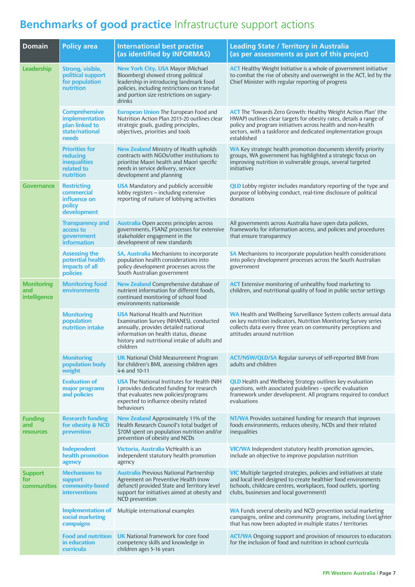### **Benchmarks of good practice** Infrastructure support actions

| <b>Domain</b>                             | <b>Policy area</b>                                                                  | <b>International best practise</b><br>(as identified by INFORMAS)                                                                                                                                                                | <b>Leading State / Territory in Australia</b><br>(as per assessments as part of this project)                                                                                                                                                                                              |
|-------------------------------------------|-------------------------------------------------------------------------------------|----------------------------------------------------------------------------------------------------------------------------------------------------------------------------------------------------------------------------------|--------------------------------------------------------------------------------------------------------------------------------------------------------------------------------------------------------------------------------------------------------------------------------------------|
| Leadership                                | Strong, visible,<br>political support<br>for population<br>nutrition                | <b>New York City, USA Mayor (Michael</b><br>Bloomberg) showed strong political<br>leadership in introducing landmark food<br>policies, including restrictions on trans-fat<br>and portion size restrictions on sugary-<br>drinks | <b>ACT</b> Healthy Weight Initiative is a whole of government initiative<br>to combat the rise of obesity and overweight in the ACT, led by the<br>Chief Minister with regular reporting of progress                                                                                       |
|                                           | <b>Comprehensive</b><br>implementation<br>plan linked to<br>state/national<br>needs | <b>European Union The European Food and</b><br>Nutrition Action Plan 2015-20 outlines clear<br>strategic goals, guiding principles,<br>objectives, priorities and tools                                                          | <b>ACT</b> The 'Towards Zero Growth: Healthy Weight Action Plan' (the<br>HWAP) outlines clear targets for obesity rates, details a range of<br>policy and program initiatives across health and non-health<br>sectors, with a taskforce and dedicated implementation groups<br>established |
|                                           | <b>Priorities for</b><br>reducing<br><b>inequalities</b><br>related to<br>nutrition | <b>New Zealand</b> Ministry of Health upholds<br>contracts with NGOs/other institutions to<br>prioritise Maori health and Maori specific<br>needs in service delivery, service<br>development and planning                       | <b>WA</b> Key strategic health promotion documents identify priority<br>groups, WA government has highlighted a strategic focus on<br>improving nutrition in vulnerable groups, several targeted<br>initiatives                                                                            |
| <b>Governance</b>                         | <b>Restricting</b><br>commercial<br>influence on<br>policy<br>development           | <b>USA</b> Mandatory and publicly accessible<br>lobby registers - including extensive<br>reporting of nature of lobbying activities                                                                                              | <b>QLD</b> Lobby register includes mandatory reporting of the type and<br>purpose of lobbying conduct, real-time disclosure of political<br>donations                                                                                                                                      |
|                                           | <b>Transparency and</b><br>access to<br>government<br><b>information</b>            | <b>Australia</b> Open access principles across<br>governments, FSANZ processes for extensive<br>stakeholder engagement in the<br>development of new standards                                                                    | All governments across Australia have open data policies,<br>frameworks for information access, and policies and procedures<br>that ensure transparency                                                                                                                                    |
|                                           | <b>Assessing the</b><br>potential health<br>impacts of all<br>policies              | <b>SA, Australia</b> Mechanisms to incorporate<br>population health considerations into<br>policy development processes across the<br>South Australian government                                                                | SA Mechanisms to incorporate population health considerations<br>into policy development processes across the South Australian<br>government                                                                                                                                               |
| <b>Monitoring</b><br>and<br>intelligence  | <b>Monitoring food</b><br>environments                                              | <b>New Zealand</b> Comprehensive database of<br>nutrient information for different foods,<br>continued monitoring of school food<br>environments nationwide                                                                      | <b>ACT</b> Extensive monitoring of unhealthy food marketing to<br>children, and nutritional quality of food in public sector settings                                                                                                                                                      |
|                                           | <b>Monitoring</b><br>population<br>nutrition intake                                 | <b>USA</b> National Health and Nutrition<br>Examination Survey (NHANES), conducted<br>annually, provides detailed national<br>information on health status, disease<br>history and nutritional intake of adults and<br>children  | WA Health and Wellbeing Surveillance System collects annual data<br>on key nutrition indicators, Nutrition Monitoring Survey series<br>collects data every three years on community perceptions and<br>attitudes around nutrition                                                          |
|                                           | <b>Monitoring</b><br>population body<br>weight                                      | <b>UK</b> National Child Measurement Program<br>for children's BMI, assessing children ages<br>4-6 and 10-11                                                                                                                     | <b>ACT/NSW/QLD/SA</b> Regular surveys of self-reported BMI from<br>adults and children                                                                                                                                                                                                     |
|                                           | <b>Evaluation of</b><br>major programs<br>and policies                              | <b>USA</b> The National Institutes for Health (NIH<br>) provides dedicated funding for research<br>that evaluates new policies/programs<br>expected to influence obesity related<br>behaviours                                   | <b>QLD</b> Health and Wellbeing Strategy outlines key evaluation<br>questions, with associated guidelines - specific evaluation<br>framework under development. All programs required to conduct<br>evaluations                                                                            |
| <b>Funding</b><br>and<br><b>resources</b> | <b>Research funding</b><br>for obesity & NCD<br>prevention                          | New Zealand Approximately 11% of the<br>Health Research Council's total budget of<br>\$70M spent on population nutrition and/or<br>prevention of obesity and NCDs                                                                | <b>NT/WA</b> Provides sustained funding for research that improves<br>foods environments, reduces obesity, NCDs and their related<br>inequalities                                                                                                                                          |
|                                           | Independent<br>health promotion<br>agency                                           | Victoria, Australia VicHealth is an<br>independent statutory health promotion<br>agency                                                                                                                                          | <b>VIC/WA</b> Independent statutory health promotion agencies,<br>include an objective to improve population nutrition                                                                                                                                                                     |
| <b>Support</b><br>for<br>communities      | <b>Mechanisms to</b><br>support<br>community-based<br><b>interventions</b>          | <b>Australia</b> Previous National Partnership<br>Agreement on Preventive Health (now<br>defunct) provided State and Territory level<br>support for initiatives aimed at obesity and<br>NCD prevention                           | <b>VIC</b> Multiple targeted strategies, policies and initiatives at state<br>and local level designed to create healthier food environments<br>(schools, childcare centres, workplaces, food outlets, sporting<br>clubs, businesses and local government)                                 |
|                                           | <b>Implementation of</b><br>social marketing<br>campaigns                           | Multiple international examples                                                                                                                                                                                                  | WA Funds several obesity and NCD prevention social marketing<br>campaigns, online and community programs, including LiveLighter<br>that has now been adopted in multiple states / territories                                                                                              |
|                                           | <b>Food and nutrition</b><br>in education<br>curricula                              | <b>UK</b> National framework for core food<br>competency skills and knowledge in<br>children ages 5-16 years                                                                                                                     | <b>ACT/WA</b> Ongoing support and provision of resources to educators<br>for the inclusion of food and nutrition in school curricula                                                                                                                                                       |